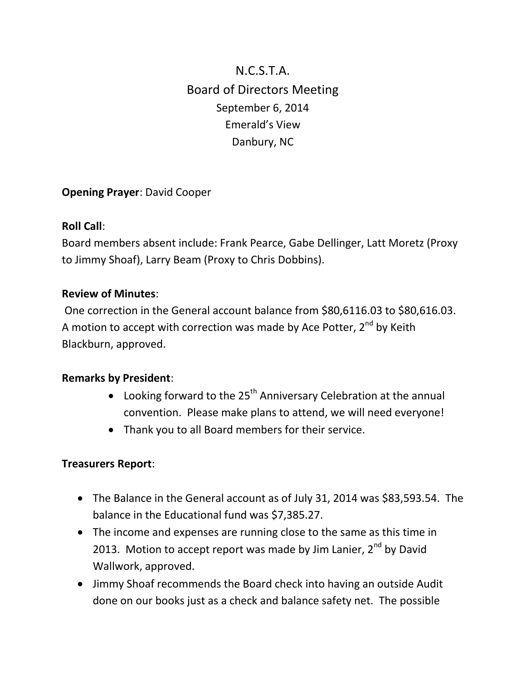# N.C.S.T.A. Board of Directors Meeting September 6, 2014 Emerald's View Danbury, NC

# **Opening Prayer**: David Cooper

## **Roll Call**:

Board members absent include: Frank Pearce, Gabe Dellinger, Latt Moretz (Proxy to Jimmy Shoaf), Larry Beam (Proxy to Chris Dobbins).

## **Review of Minutes**:

One correction in the General account balance from \$80,6116.03 to \$80,616.03. A motion to accept with correction was made by Ace Potter,  $2^{nd}$  by Keith Blackburn, approved.

#### **Remarks by President**:

- Looking forward to the  $25<sup>th</sup>$  Anniversary Celebration at the annual convention. Please make plans to attend, we will need everyone!
- Thank you to all Board members for their service.

## **Treasurers Report**:

- The Balance in the General account as of July 31, 2014 was \$83,593.54. The balance in the Educational fund was \$7,385.27.
- The income and expenses are running close to the same as this time in 2013. Motion to accept report was made by Jim Lanier,  $2^{nd}$  by David Wallwork, approved.
- Jimmy Shoaf recommends the Board check into having an outside Audit done on our books just as a check and balance safety net. The possible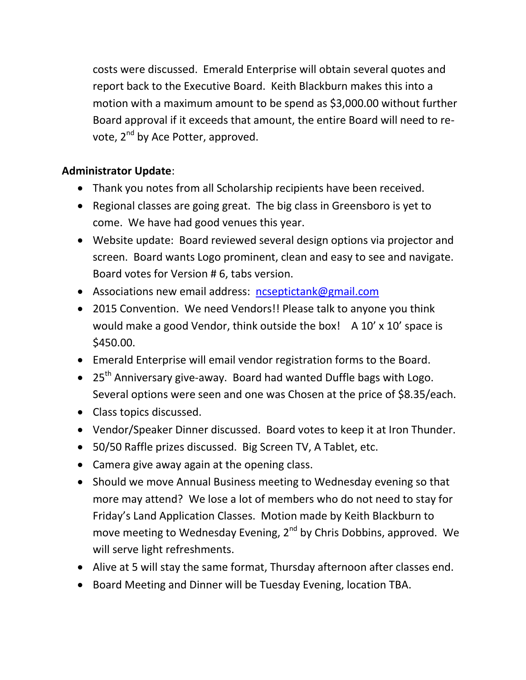costs were discussed. Emerald Enterprise will obtain several quotes and report back to the Executive Board. Keith Blackburn makes this into a motion with a maximum amount to be spend as \$3,000.00 without further Board approval if it exceeds that amount, the entire Board will need to revote, 2<sup>nd</sup> by Ace Potter, approved.

# **Administrator Update**:

- Thank you notes from all Scholarship recipients have been received.
- Regional classes are going great. The big class in Greensboro is yet to come. We have had good venues this year.
- Website update: Board reviewed several design options via projector and screen. Board wants Logo prominent, clean and easy to see and navigate. Board votes for Version # 6, tabs version.
- Associations new email address: [ncseptictank@gmail.com](mailto:ncseptictank@gmail.com)
- 2015 Convention. We need Vendors!! Please talk to anyone you think would make a good Vendor, think outside the box!  $A$  10' x 10' space is \$450.00.
- Emerald Enterprise will email vendor registration forms to the Board.
- $\bullet$  25<sup>th</sup> Anniversary give-away. Board had wanted Duffle bags with Logo. Several options were seen and one was Chosen at the price of \$8.35/each.
- Class topics discussed.
- Vendor/Speaker Dinner discussed. Board votes to keep it at Iron Thunder.
- 50/50 Raffle prizes discussed. Big Screen TV, A Tablet, etc.
- Camera give away again at the opening class.
- Should we move Annual Business meeting to Wednesday evening so that more may attend? We lose a lot of members who do not need to stay for Friday's Land Application Classes. Motion made by Keith Blackburn to move meeting to Wednesday Evening, 2<sup>nd</sup> by Chris Dobbins, approved. We will serve light refreshments.
- Alive at 5 will stay the same format, Thursday afternoon after classes end.
- Board Meeting and Dinner will be Tuesday Evening, location TBA.